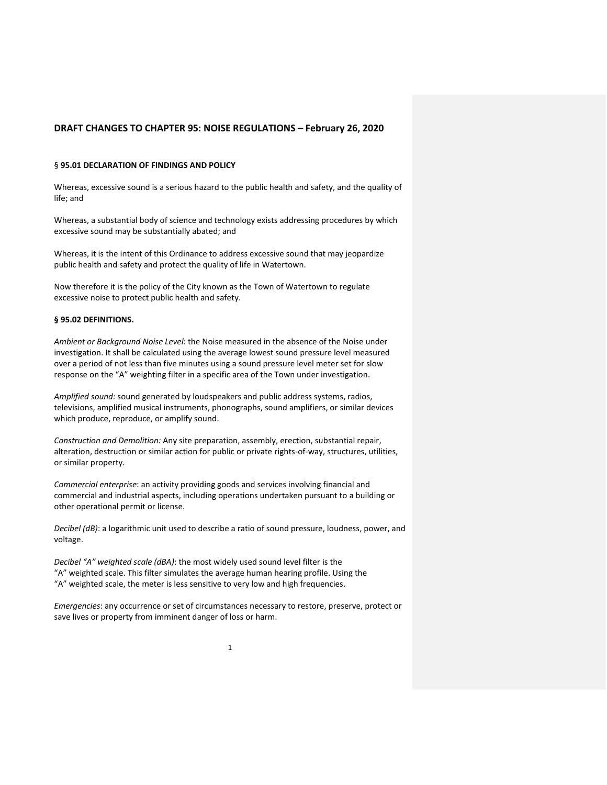#### § **95.01 DECLARATION OF FINDINGS AND POLICY**

Whereas, excessive sound is a serious hazard to the public health and safety, and the quality of life; and

Whereas, a substantial body of science and technology exists addressing procedures by which excessive sound may be substantially abated; and

Whereas, it is the intent of this Ordinance to address excessive sound that may jeopardize public health and safety and protect the quality of life in Watertown.

Now therefore it is the policy of the City known as the Town of Watertown to regulate excessive noise to protect public health and safety.

#### **§ 95.02 DEFINITIONS.**

*Ambient or Background Noise Level*: the Noise measured in the absence of the Noise under investigation. It shall be calculated using the average lowest sound pressure level measured over a period of not less than five minutes using a sound pressure level meter set for slow response on the "A" weighting filter in a specific area of the Town under investigation.

*Amplified sound:* sound generated by loudspeakers and public address systems, radios, televisions, amplified musical instruments, phonographs, sound amplifiers, or similar devices which produce, reproduce, or amplify sound.

*Construction and Demolition:* Any site preparation, assembly, erection, substantial repair, alteration, destruction or similar action for public or private rights-of-way, structures, utilities, or similar property.

*Commercial enterprise*: an activity providing goods and services involving financial and commercial and industrial aspects, including operations undertaken pursuant to a building or other operational permit or license.

*Decibel (dB)*: a logarithmic unit used to describe a ratio of sound pressure, loudness, power, and voltage.

*Decibel "A" weighted scale (dBA)*: the most widely used sound level filter is the "A" weighted scale. This filter simulates the average human hearing profile. Using the "A" weighted scale, the meter is less sensitive to very low and high frequencies.

*Emergencies*: any occurrence or set of circumstances necessary to restore, preserve, protect or save lives or property from imminent danger of loss or harm.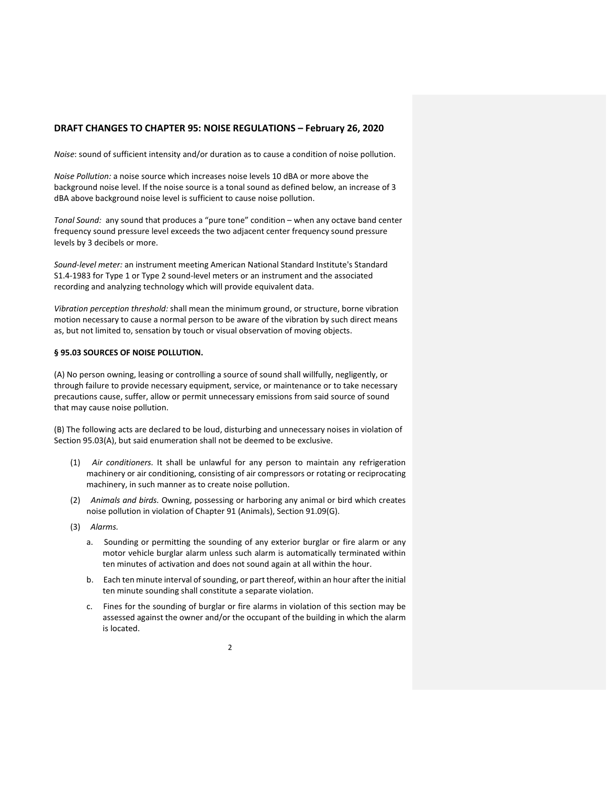*Noise*: sound of sufficient intensity and/or duration as to cause a condition of noise pollution.

*Noise Pollution:* a noise source which increases noise levels 10 dBA or more above the background noise level. If the noise source is a tonal sound as defined below, an increase of 3 dBA above background noise level is sufficient to cause noise pollution.

*Tonal Sound:* any sound that produces a "pure tone" condition – when any octave band center frequency sound pressure level exceeds the two adjacent center frequency sound pressure levels by 3 decibels or more.

*Sound-level meter:* an instrument meeting American National Standard Institute's Standard S1.4-1983 for Type 1 or Type 2 sound-level meters or an instrument and the associated recording and analyzing technology which will provide equivalent data.

*Vibration perception threshold:* shall mean the minimum ground, or structure, borne vibration motion necessary to cause a normal person to be aware of the vibration by such direct means as, but not limited to, sensation by touch or visual observation of moving objects.

#### **§ 95.03 SOURCES OF NOISE POLLUTION.**

(A) No person owning, leasing or controlling a source of sound shall willfully, negligently, or through failure to provide necessary equipment, service, or maintenance or to take necessary precautions cause, suffer, allow or permit unnecessary emissions from said source of sound that may cause noise pollution.

(B) The following acts are declared to be loud, disturbing and unnecessary noises in violation of Section 95.03(A), but said enumeration shall not be deemed to be exclusive.

- (1) *Air conditioners.* It shall be unlawful for any person to maintain any refrigeration machinery or air conditioning, consisting of air compressors or rotating or reciprocating machinery, in such manner as to create noise pollution.
- (2) *Animals and birds.* Owning, possessing or harboring any animal or bird which creates noise pollution in violation of Chapter 91 (Animals), Section 91.09(G).
- (3) *Alarms.*
	- a. Sounding or permitting the sounding of any exterior burglar or fire alarm or any motor vehicle burglar alarm unless such alarm is automatically terminated within ten minutes of activation and does not sound again at all within the hour.
	- b. Each ten minute interval of sounding, or part thereof, within an hour after the initial ten minute sounding shall constitute a separate violation.
	- c. Fines for the sounding of burglar or fire alarms in violation of this section may be assessed against the owner and/or the occupant of the building in which the alarm is located.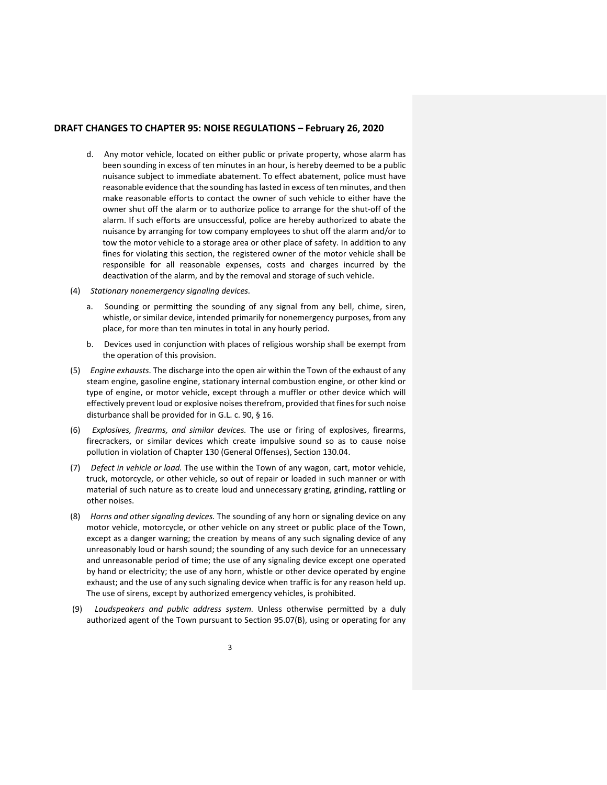- d. Any motor vehicle, located on either public or private property, whose alarm has been sounding in excess of ten minutes in an hour, is hereby deemed to be a public nuisance subject to immediate abatement. To effect abatement, police must have reasonable evidence that the sounding has lasted in excess of ten minutes, and then make reasonable efforts to contact the owner of such vehicle to either have the owner shut off the alarm or to authorize police to arrange for the shut-off of the alarm. If such efforts are unsuccessful, police are hereby authorized to abate the nuisance by arranging for tow company employees to shut off the alarm and/or to tow the motor vehicle to a storage area or other place of safety. In addition to any fines for violating this section, the registered owner of the motor vehicle shall be responsible for all reasonable expenses, costs and charges incurred by the deactivation of the alarm, and by the removal and storage of such vehicle.
- (4) *Stationary nonemergency signaling devices.*
	- a. Sounding or permitting the sounding of any signal from any bell, chime, siren, whistle, or similar device, intended primarily for nonemergency purposes, from any place, for more than ten minutes in total in any hourly period.
	- b. Devices used in conjunction with places of religious worship shall be exempt from the operation of this provision.
- (5) *Engine exhausts.* The discharge into the open air within the Town of the exhaust of any steam engine, gasoline engine, stationary internal combustion engine, or other kind or type of engine, or motor vehicle, except through a muffler or other device which will effectively prevent loud or explosive noises therefrom, provided that fines for such noise disturbance shall be provided for in G.L. c. 90, § 16.
- (6) *Explosives, firearms, and similar devices.* The use or firing of explosives, firearms, firecrackers, or similar devices which create impulsive sound so as to cause noise pollution in violation of Chapter 130 (General Offenses), Section 130.04.
- (7) *Defect in vehicle or load.* The use within the Town of any wagon, cart, motor vehicle, truck, motorcycle, or other vehicle, so out of repair or loaded in such manner or with material of such nature as to create loud and unnecessary grating, grinding, rattling or other noises.
- (8) *Horns and other signaling devices.* The sounding of any horn or signaling device on any motor vehicle, motorcycle, or other vehicle on any street or public place of the Town, except as a danger warning; the creation by means of any such signaling device of any unreasonably loud or harsh sound; the sounding of any such device for an unnecessary and unreasonable period of time; the use of any signaling device except one operated by hand or electricity; the use of any horn, whistle or other device operated by engine exhaust; and the use of any such signaling device when traffic is for any reason held up. The use of sirens, except by authorized emergency vehicles, is prohibited.
- (9) *Loudspeakers and public address system.* Unless otherwise permitted by a duly authorized agent of the Town pursuant to Section 95.07(B), using or operating for any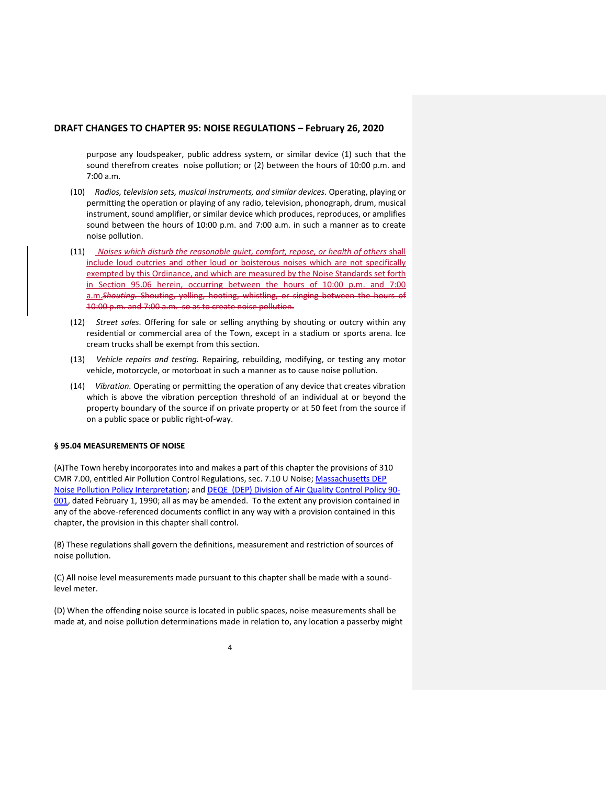purpose any loudspeaker, public address system, or similar device (1) such that the sound therefrom creates noise pollution; or (2) between the hours of 10:00 p.m. and 7:00 a.m.

- (10) *Radios, television sets, musical instruments, and similar devices.* Operating, playing or permitting the operation or playing of any radio, television, phonograph, drum, musical instrument, sound amplifier, or similar device which produces, reproduces, or amplifies sound between the hours of 10:00 p.m. and 7:00 a.m. in such a manner as to create noise pollution.
- (11) *Noises which disturb the reasonable quiet, comfort, repose, or health of others* shall include loud outcries and other loud or boisterous noises which are not specifically exempted by this Ordinance, and which are measured by the Noise Standards set forth in Section 95.06 herein, occurring between the hours of 10:00 p.m. and 7:00 a.m.*Shouting.* Shouting, yelling, hooting, whistling, or singing between the hours of 10:00 p.m. and 7:00 a.m. so as to create noise pollution.
- (12) *Street sales.* Offering for sale or selling anything by shouting or outcry within any residential or commercial area of the Town, except in a stadium or sports arena. Ice cream trucks shall be exempt from this section.
- (13) *Vehicle repairs and testing.* Repairing, rebuilding, modifying, or testing any motor vehicle, motorcycle, or motorboat in such a manner as to cause noise pollution.
- (14) *Vibration.* Operating or permitting the operation of any device that creates vibration which is above the vibration perception threshold of an individual at or beyond the property boundary of the source if on private property or at 50 feet from the source if on a public space or public right-of-way.

#### **§ 95.04 MEASUREMENTS OF NOISE**

(A)The Town hereby incorporates into and makes a part of this chapter the provisions of 310 CMR 7.00, entitled Air Pollution Control Regulations, sec. 7.10 U Noise; [Massachusetts DEP](http://www.watertown-ma.gov/DocumentCenter/View/24489)  Noise [Pollution Policy Interpretation;](http://www.watertown-ma.gov/DocumentCenter/View/24489) and [DEQE \(DEP\) Division of Air Quality Control Policy 90-](http://www.watertown-ma.gov/DocumentCenter/View/24488) [001,](http://www.watertown-ma.gov/DocumentCenter/View/24488) dated February 1, 1990; all as may be amended. To the extent any provision contained in any of the above-referenced documents conflict in any way with a provision contained in this chapter, the provision in this chapter shall control.

(B) These regulations shall govern the definitions, measurement and restriction of sources of noise pollution.

(C) All noise level measurements made pursuant to this chapter shall be made with a soundlevel meter.

(D) When the offending noise source is located in public spaces, noise measurements shall be made at, and noise pollution determinations made in relation to, any location a passerby might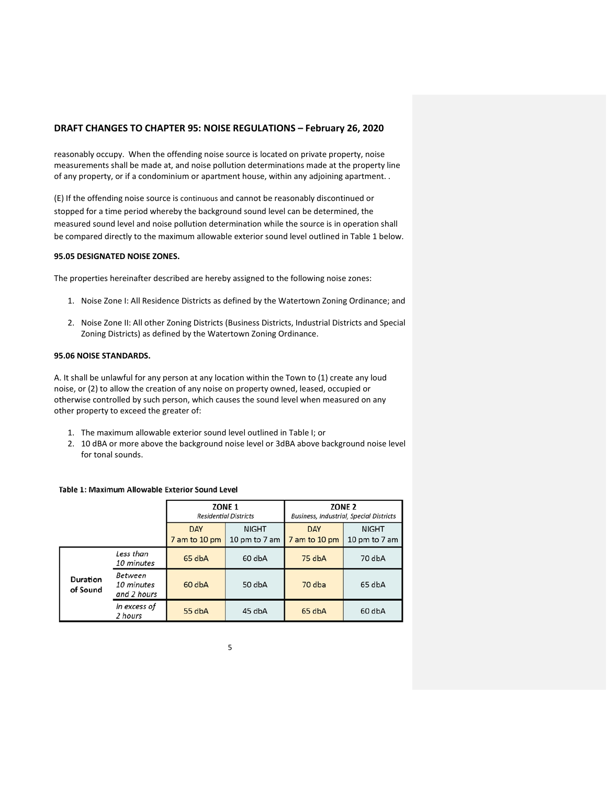reasonably occupy. When the offending noise source is located on private property, noise measurements shall be made at, and noise pollution determinations made at the property line of any property, or if a condominium or apartment house, within any adjoining apartment. .

(E) If the offending noise source is continuous and cannot be reasonably discontinued or stopped for a time period whereby the background sound level can be determined, the measured sound level and noise pollution determination while the source is in operation shall be compared directly to the maximum allowable exterior sound level outlined in Table 1 below.

### **95.05 DESIGNATED NOISE ZONES.**

The properties hereinafter described are hereby assigned to the following noise zones:

- 1. Noise Zone I: All Residence Districts as defined by the Watertown Zoning Ordinance; and
- 2. Noise Zone II: All other Zoning Districts (Business Districts, Industrial Districts and Special Zoning Districts) as defined by the Watertown Zoning Ordinance.

### **95.06 NOISE STANDARDS.**

A. It shall be unlawful for any person at any location within the Town to (1) create any loud noise, or (2) to allow the creation of any noise on property owned, leased, occupied or otherwise controlled by such person, which causes the sound level when measured on any other property to exceed the greater of:

- 1. The maximum allowable exterior sound level outlined in Table I; or
- 2. 10 dBA or more above the background noise level or 3dBA above background noise level for tonal sounds.

#### Table 1: Maximum Allowable Exterior Sound Level

|  |                      | ZONE <sub>1</sub><br><b>Residential Districts</b> |                             | ZONE <sub>2</sub><br><b>Business, Industrial, Special Districts</b> |                             |                               |
|--|----------------------|---------------------------------------------------|-----------------------------|---------------------------------------------------------------------|-----------------------------|-------------------------------|
|  |                      |                                                   | <b>DAY</b><br>7 am to 10 pm | <b>NIGHT</b><br>10 pm to 7 am                                       | <b>DAY</b><br>7 am to 10 pm | <b>NIGHT</b><br>10 pm to 7 am |
|  | Duration<br>of Sound | Less than<br>10 minutes                           | 65 dbA                      | 60 dbA                                                              | 75 dbA                      | 70 dbA                        |
|  |                      | Between<br>10 minutes<br>and 2 hours              | 60 dbA                      | 50 dbA                                                              | 70 dba                      | 65 dbA                        |
|  |                      | In excess of<br>2 hours                           | 55 dbA                      | 45 dbA                                                              | 65 dbA                      | 60 dbA                        |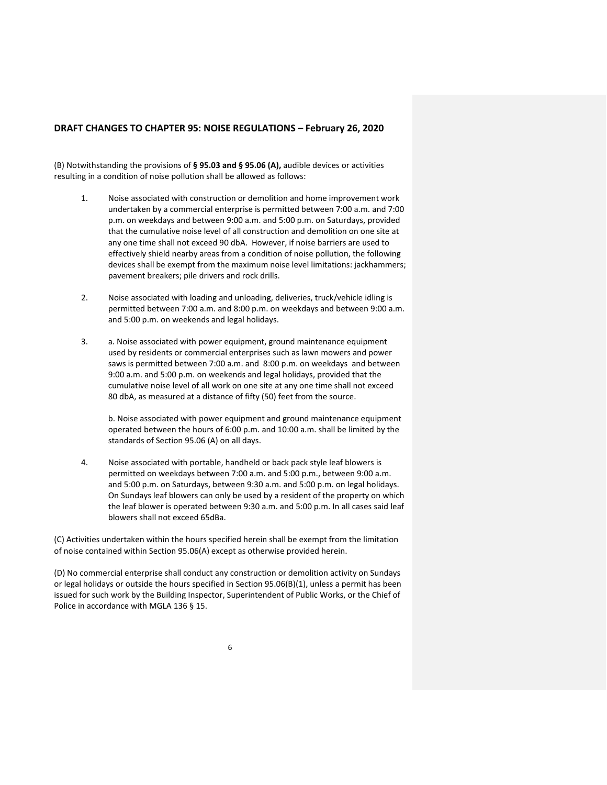(B) Notwithstanding the provisions of **§ 95.03 and § 95.06 (A),** audible devices or activities resulting in a condition of noise pollution shall be allowed as follows:

- 1. Noise associated with construction or demolition and home improvement work undertaken by a commercial enterprise is permitted between 7:00 a.m. and 7:00 p.m. on weekdays and between 9:00 a.m. and 5:00 p.m. on Saturdays, provided that the cumulative noise level of all construction and demolition on one site at any one time shall not exceed 90 dbA. However, if noise barriers are used to effectively shield nearby areas from a condition of noise pollution, the following devices shall be exempt from the maximum noise level limitations: jackhammers; pavement breakers; pile drivers and rock drills.
- 2. Noise associated with loading and unloading, deliveries, truck/vehicle idling is permitted between 7:00 a.m. and 8:00 p.m. on weekdays and between 9:00 a.m. and 5:00 p.m. on weekends and legal holidays.
- 3. a. Noise associated with power equipment, ground maintenance equipment used by residents or commercial enterprises such as lawn mowers and power saws is permitted between 7:00 a.m. and 8:00 p.m. on weekdays and between 9:00 a.m. and 5:00 p.m. on weekends and legal holidays, provided that the cumulative noise level of all work on one site at any one time shall not exceed 80 dbA, as measured at a distance of fifty (50) feet from the source.

b. Noise associated with power equipment and ground maintenance equipment operated between the hours of 6:00 p.m. and 10:00 a.m. shall be limited by the standards of Section 95.06 (A) on all days.

4. Noise associated with portable, handheld or back pack style leaf blowers is permitted on weekdays between 7:00 a.m. and 5:00 p.m., between 9:00 a.m. and 5:00 p.m. on Saturdays, between 9:30 a.m. and 5:00 p.m. on legal holidays. On Sundays leaf blowers can only be used by a resident of the property on which the leaf blower is operated between 9:30 a.m. and 5:00 p.m. In all cases said leaf blowers shall not exceed 65dBa.

(C) Activities undertaken within the hours specified herein shall be exempt from the limitation of noise contained within Section 95.06(A) except as otherwise provided herein.

(D) No commercial enterprise shall conduct any construction or demolition activity on Sundays or legal holidays or outside the hours specified in Section 95.06(B)(1), unless a permit has been issued for such work by the Building Inspector, Superintendent of Public Works, or the Chief of Police in accordance with MGLA 136 § 15.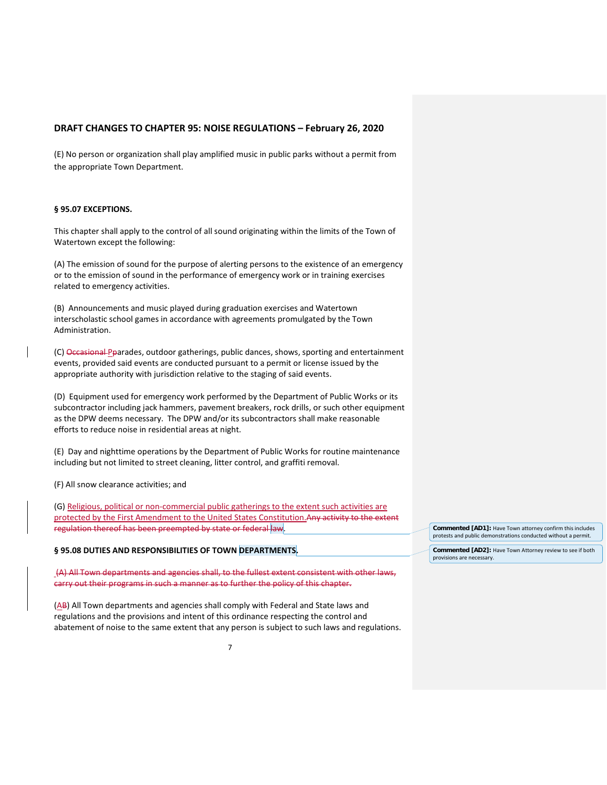(E) No person or organization shall play amplified music in public parks without a permit from the appropriate Town Department.

## **§ 95.07 EXCEPTIONS.**

This chapter shall apply to the control of all sound originating within the limits of the Town of Watertown except the following:

(A) The emission of sound for the purpose of alerting persons to the existence of an emergency or to the emission of sound in the performance of emergency work or in training exercises related to emergency activities.

(B) Announcements and music played during graduation exercises and Watertown interscholastic school games in accordance with agreements promulgated by the Town Administration.

(C) Occasional Poarades, outdoor gatherings, public dances, shows, sporting and entertainment events, provided said events are conducted pursuant to a permit or license issued by the appropriate authority with jurisdiction relative to the staging of said events.

(D) Equipment used for emergency work performed by the Department of Public Works or its subcontractor including jack hammers, pavement breakers, rock drills, or such other equipment as the DPW deems necessary. The DPW and/or its subcontractors shall make reasonable efforts to reduce noise in residential areas at night.

(E) Day and nighttime operations by the Department of Public Works for routine maintenance including but not limited to street cleaning, litter control, and graffiti removal.

(F) All snow clearance activities; and

(G) Religious, political or non-commercial public gatherings to the extent such activities are protected by the First Amendment to the United States Constitution.Any activity to the extent regulation thereof has been preempted by state or federal law.

# **§ 95.08 DUTIES AND RESPONSIBILITIES OF TOWN DEPARTMENTS.**

(A) All Town departments and agencies shall, to the fullest extent consistent with other laws, carry out their programs in such a manner as to further the policy of this chapter.

(AB) All Town departments and agencies shall comply with Federal and State laws and regulations and the provisions and intent of this ordinance respecting the control and abatement of noise to the same extent that any person is subject to such laws and regulations. **Commented [AD1]:** Have Town attorney confirm this includes protests and public demonstrations conducted without a permit.

**Commented [AD2]:** Have Town Attorney review to see if both provisions are necessary.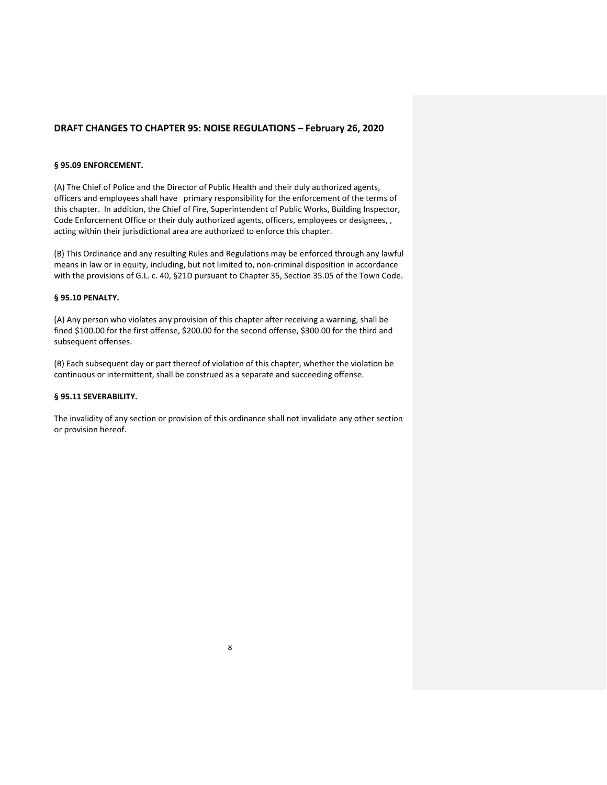### **§ 95.09 ENFORCEMENT.**

(A) The Chief of Police and the Director of Public Health and their duly authorized agents, officers and employees shall have primary responsibility for the enforcement of the terms of this chapter. In addition, the Chief of Fire, Superintendent of Public Works, Building Inspector, Code Enforcement Office or their duly authorized agents, officers, employees or designees, , acting within their jurisdictional area are authorized to enforce this chapter.

(B) This Ordinance and any resulting Rules and Regulations may be enforced through any lawful means in law or in equity, including, but not limited to, non-criminal disposition in accordance with the provisions of G.L. c. 40, §21D pursuant to Chapter 35, Section 35.05 of the Town Code.

#### **§ 95.10 PENALTY.**

(A) Any person who violates any provision of this chapter after receiving a warning, shall be fined \$100.00 for the first offense, \$200.00 for the second offense, \$300.00 for the third and subsequent offenses.

(B) Each subsequent day or part thereof of violation of this chapter, whether the violation be continuous or intermittent, shall be construed as a separate and succeeding offense.

### **§ 95.11 SEVERABILITY.**

The invalidity of any section or provision of this ordinance shall not invalidate any other section or provision hereof.